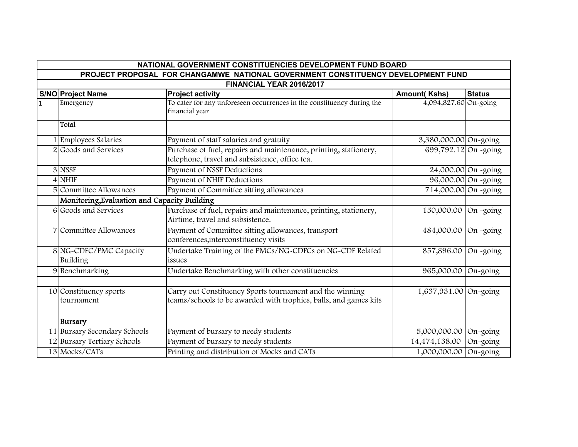| NATIONAL GOVERNMENT CONSTITUENCIES DEVELOPMENT FUND BOARD                        |                                              |                                                                                                                              |                       |                     |  |  |  |  |
|----------------------------------------------------------------------------------|----------------------------------------------|------------------------------------------------------------------------------------------------------------------------------|-----------------------|---------------------|--|--|--|--|
| PROJECT PROPOSAL FOR CHANGAMWE NATIONAL GOVERNMENT CONSTITUENCY DEVELOPMENT FUND |                                              |                                                                                                                              |                       |                     |  |  |  |  |
| FINANCIAL YEAR 2016/2017                                                         |                                              |                                                                                                                              |                       |                     |  |  |  |  |
|                                                                                  | <b>S/NO Project Name</b>                     | <b>Project activity</b>                                                                                                      | <b>Amount(Kshs)</b>   | <b>Status</b>       |  |  |  |  |
| $\overline{1}$                                                                   | Emergency                                    | To cater for any unforeseen occurrences in the constituency during the<br>financial year                                     | 4,094,827.60 On-going |                     |  |  |  |  |
|                                                                                  | Total                                        |                                                                                                                              |                       |                     |  |  |  |  |
|                                                                                  | <b>Employees Salaries</b>                    | Payment of staff salaries and gratuity                                                                                       | 3,380,000.00 On-going |                     |  |  |  |  |
|                                                                                  | 2 Goods and Services                         | Purchase of fuel, repairs and maintenance, printing, stationery,<br>telephone, travel and subsistence, office tea.           | 699,792.12 On -going  |                     |  |  |  |  |
|                                                                                  | 3 NSSF                                       | Payment of NSSF Deductions                                                                                                   |                       | 24,000.00 On -going |  |  |  |  |
|                                                                                  | $4$ NHIF                                     | Payment of NHIF Deductions                                                                                                   |                       | 96,000.00 On -going |  |  |  |  |
|                                                                                  | 5 Committee Allowances                       | Payment of Committee sitting allowances                                                                                      | 714,000.00 On -going  |                     |  |  |  |  |
|                                                                                  | Monitoring, Evaluation and Capacity Building |                                                                                                                              |                       |                     |  |  |  |  |
|                                                                                  | 6 Goods and Services                         | Purchase of fuel, repairs and maintenance, printing, stationery,<br>Airtime, travel and subsistence.                         | 150,000.00            | On -going           |  |  |  |  |
|                                                                                  | 7 Committee Allowances                       | Payment of Committee sitting allowances, transport<br>conferences, interconstituency visits                                  | 484,000.00            | On -going           |  |  |  |  |
|                                                                                  | 8 NG-CDFC/PMC Capacity<br>Building           | Undertake Training of the PMCs/NG-CDFCs on NG-CDF Related<br>issues                                                          | 857,896.00            | On -going           |  |  |  |  |
|                                                                                  | 9 Benchmarking                               | Undertake Benchmarking with other constituencies                                                                             | 965,000.00 On-going   |                     |  |  |  |  |
|                                                                                  |                                              |                                                                                                                              |                       |                     |  |  |  |  |
|                                                                                  | 10 Constituency sports<br>tournament         | Carry out Constituency Sports tournament and the winning<br>teams/schools to be awarded with trophies, balls, and games kits | 1,637,931.00 On-going |                     |  |  |  |  |
|                                                                                  | Bursary                                      |                                                                                                                              |                       |                     |  |  |  |  |
|                                                                                  | 11 Bursary Secondary Schools                 | Payment of bursary to needy students                                                                                         | 5,000,000.00          | On-going            |  |  |  |  |
|                                                                                  | 12 Bursary Tertiary Schools                  | Payment of bursary to needy students                                                                                         | 14,474,138.00         | On-going            |  |  |  |  |
|                                                                                  | 13 Mocks/CATs                                | Printing and distribution of Mocks and CATs                                                                                  | 1,000,000.00          | On-going            |  |  |  |  |